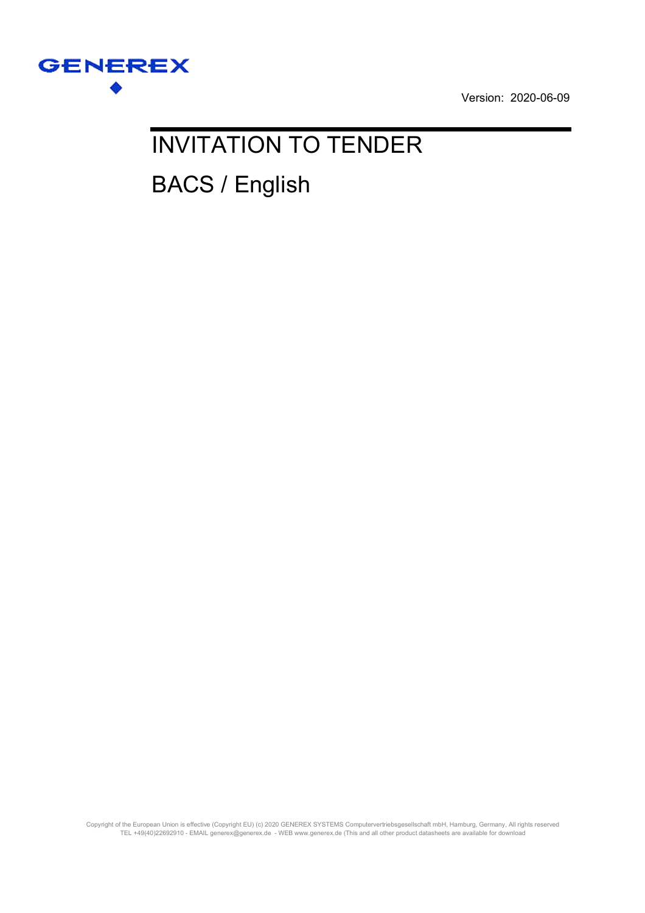

Version: 2020-06-09

# INVITATION TO TENDER BACS / English

Copyright of the European Union is effective (Copyright EU) (c) 2020 GENEREX SYSTEMS Computervertriebsgesellschaft mbH, Hamburg, Germany, All rights reserved TEL +49(40)22692910 - EMAIL generex@generex.de - WEB www.generex.de (This and all other product datasheets are available for download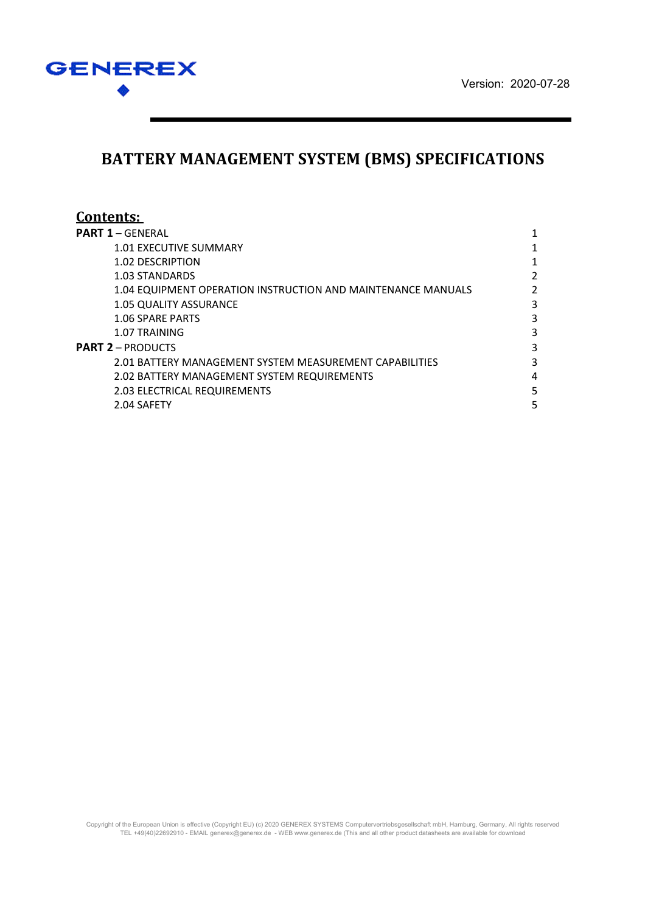



## **BATTERY MANAGEMENT SYSTEM (BMS) SPECIFICATIONS**

| Contents:                                                    |               |
|--------------------------------------------------------------|---------------|
| <b>PART 1 – GENERAL</b>                                      |               |
| 1.01 EXECUTIVE SUMMARY                                       | 1             |
| 1.02 DESCRIPTION                                             |               |
| 1.03 STANDARDS                                               | $\mathfrak z$ |
| 1.04 EQUIPMENT OPERATION INSTRUCTION AND MAINTENANCE MANUALS | 2             |
| <b>1.05 QUALITY ASSURANCE</b>                                | 3             |
| <b>1.06 SPARE PARTS</b>                                      | 3             |
| 1.07 TRAINING                                                | 3             |
| <b>PART 2 – PRODUCTS</b>                                     | 3             |
| 2.01 BATTERY MANAGEMENT SYSTEM MEASUREMENT CAPABILITIES      | 3             |
| 2.02 BATTERY MANAGEMENT SYSTEM REQUIREMENTS                  | 4             |
| 2.03 ELECTRICAL REQUIREMENTS                                 | 5             |
| 2.04 SAFETY                                                  | 5             |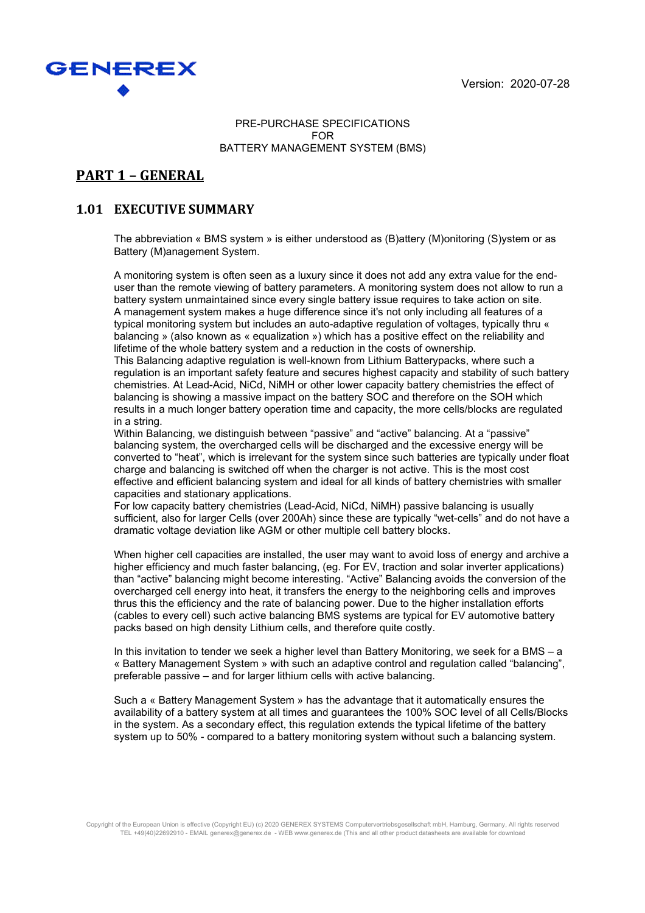Version: 2020-07-28



#### PRE-PURCHASE SPECIFICATIONS FOR BATTERY MANAGEMENT SYSTEM (BMS)

## **PART 1 – GENERAL**

#### **1.01 EXECUTIVE SUMMARY**

The abbreviation « BMS system » is either understood as (B)attery (M)onitoring (S)ystem or as Battery (M)anagement System.

A monitoring system is often seen as a luxury since it does not add any extra value for the enduser than the remote viewing of battery parameters. A monitoring system does not allow to run a battery system unmaintained since every single battery issue requires to take action on site. A management system makes a huge difference since it's not only including all features of a typical monitoring system but includes an auto-adaptive regulation of voltages, typically thru « balancing » (also known as « equalization ») which has a positive effect on the reliability and lifetime of the whole battery system and a reduction in the costs of ownership.

This Balancing adaptive regulation is well-known from Lithium Batterypacks, where such a regulation is an important safety feature and secures highest capacity and stability of such battery chemistries. At Lead-Acid, NiCd, NiMH or other lower capacity battery chemistries the effect of balancing is showing a massive impact on the battery SOC and therefore on the SOH which results in a much longer battery operation time and capacity, the more cells/blocks are regulated in a string.

Within Balancing, we distinguish between "passive" and "active" balancing. At a "passive" balancing system, the overcharged cells will be discharged and the excessive energy will be converted to "heat", which is irrelevant for the system since such batteries are typically under float charge and balancing is switched off when the charger is not active. This is the most cost effective and efficient balancing system and ideal for all kinds of battery chemistries with smaller capacities and stationary applications.

For low capacity battery chemistries (Lead-Acid, NiCd, NiMH) passive balancing is usually sufficient, also for larger Cells (over 200Ah) since these are typically "wet-cells" and do not have a dramatic voltage deviation like AGM or other multiple cell battery blocks.

When higher cell capacities are installed, the user may want to avoid loss of energy and archive a higher efficiency and much faster balancing, (eg. For EV, traction and solar inverter applications) than "active" balancing might become interesting. "Active" Balancing avoids the conversion of the overcharged cell energy into heat, it transfers the energy to the neighboring cells and improves thrus this the efficiency and the rate of balancing power. Due to the higher installation efforts (cables to every cell) such active balancing BMS systems are typical for EV automotive battery packs based on high density Lithium cells, and therefore quite costly.

In this invitation to tender we seek a higher level than Battery Monitoring, we seek for a BMS – a « Battery Management System » with such an adaptive control and regulation called "balancing", preferable passive – and for larger lithium cells with active balancing.

Such a « Battery Management System » has the advantage that it automatically ensures the availability of a battery system at all times and guarantees the 100% SOC level of all Cells/Blocks in the system. As a secondary effect, this regulation extends the typical lifetime of the battery system up to 50% - compared to a battery monitoring system without such a balancing system.

Copyright of the European Union is effective (Copyright EU) (c) 2020 GENEREX SYSTEMS Computervertriebsgesellschaft mbH, Hamburg, Germany, All rights reserved TEL +49(40)22692910 - EMAIL generex@generex.de - WEB www.generex.de (This and all other product datasheets are available for download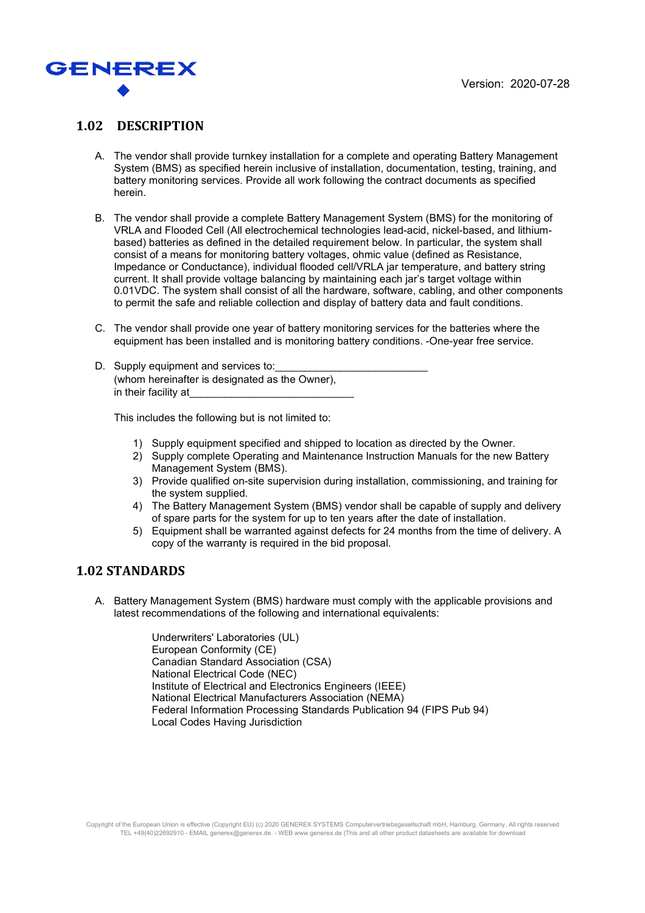

#### **1.02 DESCRIPTION**

- A. The vendor shall provide turnkey installation for a complete and operating Battery Management System (BMS) as specified herein inclusive of installation, documentation, testing, training, and battery monitoring services. Provide all work following the contract documents as specified herein.
- B. The vendor shall provide a complete Battery Management System (BMS) for the monitoring of VRLA and Flooded Cell (All electrochemical technologies lead-acid, nickel-based, and lithiumbased) batteries as defined in the detailed requirement below. In particular, the system shall consist of a means for monitoring battery voltages, ohmic value (defined as Resistance, Impedance or Conductance), individual flooded cell/VRLA jar temperature, and battery string current. It shall provide voltage balancing by maintaining each jar's target voltage within 0.01VDC. The system shall consist of all the hardware, software, cabling, and other components to permit the safe and reliable collection and display of battery data and fault conditions.
- C. The vendor shall provide one year of battery monitoring services for the batteries where the equipment has been installed and is monitoring battery conditions. -One-year free service.
- D. Supply equipment and services to: (whom hereinafter is designated as the Owner), in their facility at

This includes the following but is not limited to:

- 1) Supply equipment specified and shipped to location as directed by the Owner.
- 2) Supply complete Operating and Maintenance Instruction Manuals for the new Battery Management System (BMS).
- 3) Provide qualified on-site supervision during installation, commissioning, and training for the system supplied.
- 4) The Battery Management System (BMS) vendor shall be capable of supply and delivery of spare parts for the system for up to ten years after the date of installation.
- 5) Equipment shall be warranted against defects for 24 months from the time of delivery. A copy of the warranty is required in the bid proposal.

#### **1.02 STANDARDS**

A. Battery Management System (BMS) hardware must comply with the applicable provisions and latest recommendations of the following and international equivalents:

> Underwriters' Laboratories (UL) European Conformity (CE) Canadian Standard Association (CSA) National Electrical Code (NEC) Institute of Electrical and Electronics Engineers (IEEE) National Electrical Manufacturers Association (NEMA) Federal Information Processing Standards Publication 94 (FIPS Pub 94) Local Codes Having Jurisdiction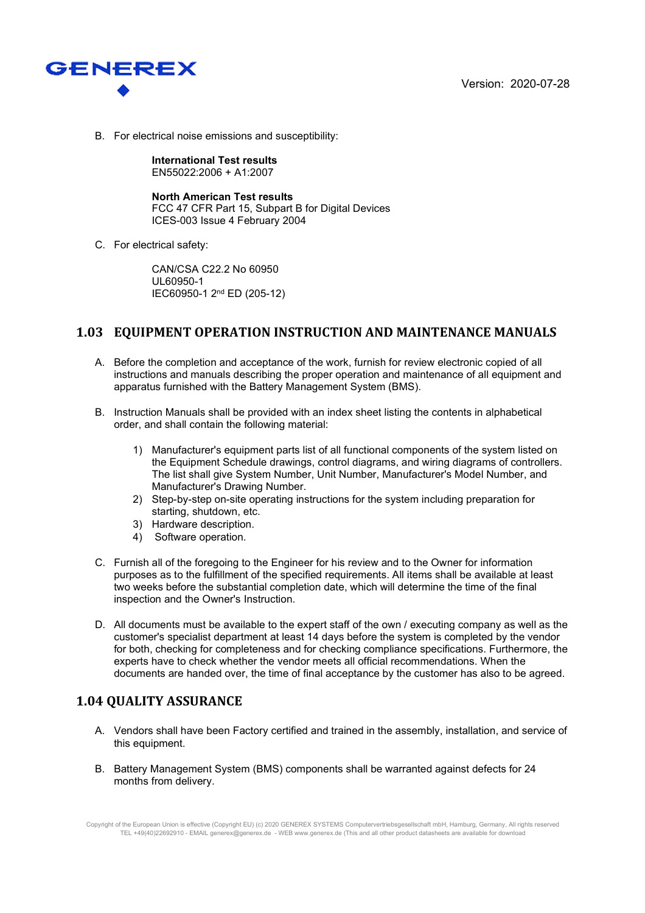



B. For electrical noise emissions and susceptibility:

**International Test results**  EN55022:2006 + A1:2007

**North American Test results**  FCC 47 CFR Part 15, Subpart B for Digital Devices ICES-003 Issue 4 February 2004

C. For electrical safety:

CAN/CSA C22.2 No 60950 UL60950-1 IEC60950-1 2nd ED (205-12)

## **1.03 EQUIPMENT OPERATION INSTRUCTION AND MAINTENANCE MANUALS**

- A. Before the completion and acceptance of the work, furnish for review electronic copied of all instructions and manuals describing the proper operation and maintenance of all equipment and apparatus furnished with the Battery Management System (BMS).
- B. Instruction Manuals shall be provided with an index sheet listing the contents in alphabetical order, and shall contain the following material:
	- 1) Manufacturer's equipment parts list of all functional components of the system listed on the Equipment Schedule drawings, control diagrams, and wiring diagrams of controllers. The list shall give System Number, Unit Number, Manufacturer's Model Number, and Manufacturer's Drawing Number.
	- 2) Step-by-step on-site operating instructions for the system including preparation for starting, shutdown, etc.
	- 3) Hardware description.
	- 4) Software operation.
- C. Furnish all of the foregoing to the Engineer for his review and to the Owner for information purposes as to the fulfillment of the specified requirements. All items shall be available at least two weeks before the substantial completion date, which will determine the time of the final inspection and the Owner's Instruction.
- D. All documents must be available to the expert staff of the own / executing company as well as the customer's specialist department at least 14 days before the system is completed by the vendor for both, checking for completeness and for checking compliance specifications. Furthermore, the experts have to check whether the vendor meets all official recommendations. When the documents are handed over, the time of final acceptance by the customer has also to be agreed.

## **1.04 QUALITY ASSURANCE**

- A. Vendors shall have been Factory certified and trained in the assembly, installation, and service of this equipment.
- B. Battery Management System (BMS) components shall be warranted against defects for 24 months from delivery.

Copyright of the European Union is effective (Copyright EU) (c) 2020 GENEREX SYSTEMS Computervertriebsgesellschaft mbH, Hamburg, Germany, All rights reserved TEL +49(40)22692910 - EMAIL generex@generex.de - WEB www.generex.de (This and all other product datasheets are available for download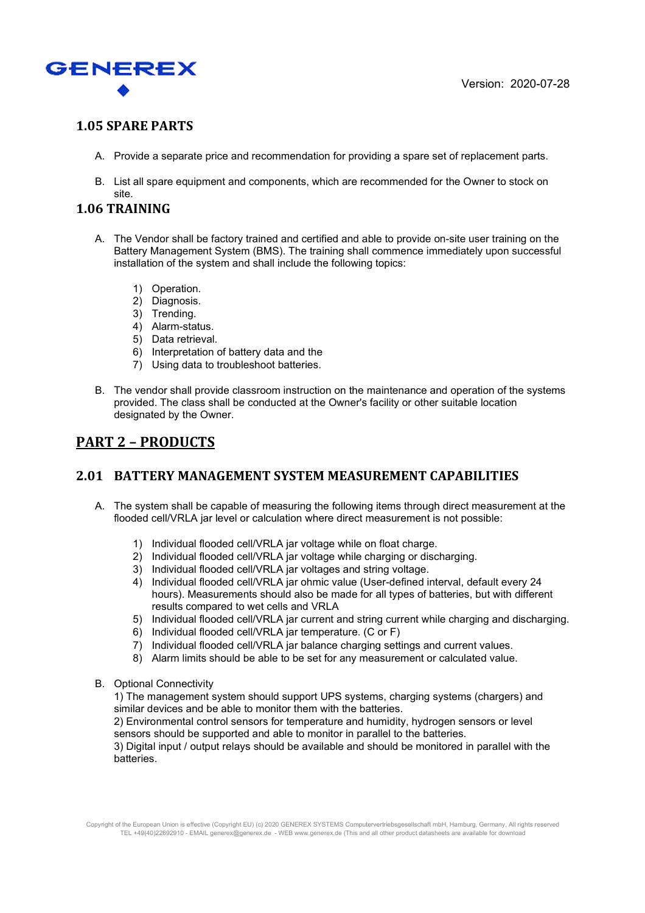

## **1.05 SPARE PARTS**

- A. Provide a separate price and recommendation for providing a spare set of replacement parts.
- B. List all spare equipment and components, which are recommended for the Owner to stock on site.

#### **1.06 TRAINING**

- A. The Vendor shall be factory trained and certified and able to provide on-site user training on the Battery Management System (BMS). The training shall commence immediately upon successful installation of the system and shall include the following topics:
	- 1) Operation.
	- 2) Diagnosis.
	- 3) Trending.
	- 4) Alarm-status.
	- 5) Data retrieval.
	- 6) Interpretation of battery data and the
	- 7) Using data to troubleshoot batteries.
- B. The vendor shall provide classroom instruction on the maintenance and operation of the systems provided. The class shall be conducted at the Owner's facility or other suitable location designated by the Owner.

## **PART 2 – PRODUCTS**

#### **2.01 BATTERY MANAGEMENT SYSTEM MEASUREMENT CAPABILITIES**

- A. The system shall be capable of measuring the following items through direct measurement at the flooded cell/VRLA jar level or calculation where direct measurement is not possible:
	- 1) Individual flooded cell/VRLA jar voltage while on float charge.
	- 2) Individual flooded cell/VRLA jar voltage while charging or discharging.
	- 3) Individual flooded cell/VRLA jar voltages and string voltage.
	- 4) Individual flooded cell/VRLA jar ohmic value (User-defined interval, default every 24 hours). Measurements should also be made for all types of batteries, but with different results compared to wet cells and VRLA
	- 5) Individual flooded cell/VRLA jar current and string current while charging and discharging.
	- 6) Individual flooded cell/VRLA jar temperature. (C or F)
	- 7) Individual flooded cell/VRLA jar balance charging settings and current values.
	- 8) Alarm limits should be able to be set for any measurement or calculated value.
- B. Optional Connectivity

1) The management system should support UPS systems, charging systems (chargers) and similar devices and be able to monitor them with the batteries.

2) Environmental control sensors for temperature and humidity, hydrogen sensors or level sensors should be supported and able to monitor in parallel to the batteries.

3) Digital input / output relays should be available and should be monitored in parallel with the batteries.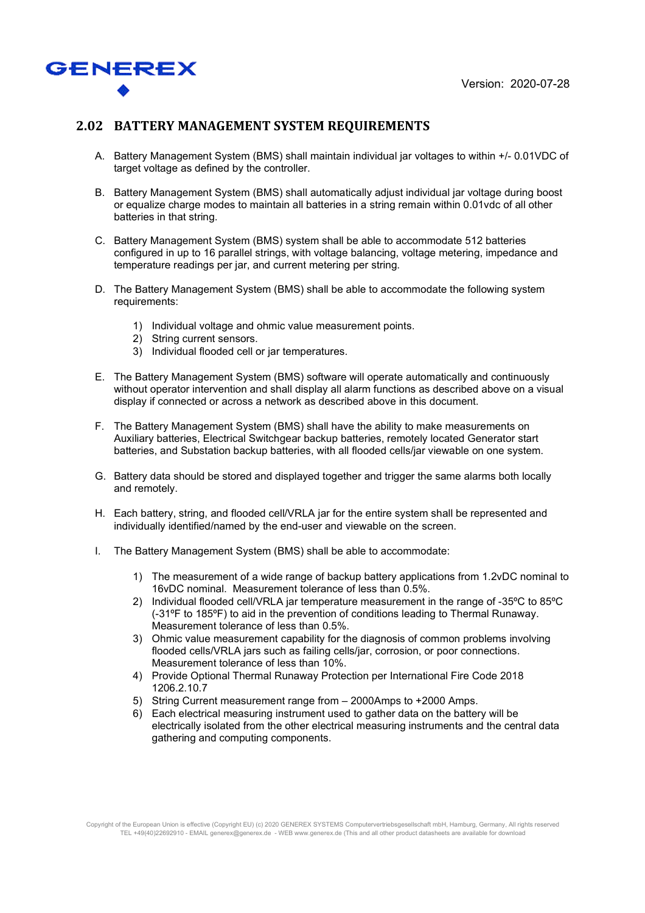

#### **2.02 BATTERY MANAGEMENT SYSTEM REQUIREMENTS**

- A. Battery Management System (BMS) shall maintain individual jar voltages to within +/- 0.01VDC of target voltage as defined by the controller.
- B. Battery Management System (BMS) shall automatically adjust individual jar voltage during boost or equalize charge modes to maintain all batteries in a string remain within 0.01vdc of all other batteries in that string.
- C. Battery Management System (BMS) system shall be able to accommodate 512 batteries configured in up to 16 parallel strings, with voltage balancing, voltage metering, impedance and temperature readings per jar, and current metering per string.
- D. The Battery Management System (BMS) shall be able to accommodate the following system requirements:
	- 1) Individual voltage and ohmic value measurement points.
	- 2) String current sensors.
	- 3) Individual flooded cell or jar temperatures.
- E. The Battery Management System (BMS) software will operate automatically and continuously without operator intervention and shall display all alarm functions as described above on a visual display if connected or across a network as described above in this document.
- F. The Battery Management System (BMS) shall have the ability to make measurements on Auxiliary batteries, Electrical Switchgear backup batteries, remotely located Generator start batteries, and Substation backup batteries, with all flooded cells/jar viewable on one system.
- G. Battery data should be stored and displayed together and trigger the same alarms both locally and remotely.
- H. Each battery, string, and flooded cell/VRLA jar for the entire system shall be represented and individually identified/named by the end-user and viewable on the screen.
- I. The Battery Management System (BMS) shall be able to accommodate:
	- 1) The measurement of a wide range of backup battery applications from 1.2vDC nominal to 16vDC nominal. Measurement tolerance of less than 0.5%.
	- 2) Individual flooded cell/VRLA jar temperature measurement in the range of -35ºC to 85ºC (-31ºF to 185ºF) to aid in the prevention of conditions leading to Thermal Runaway. Measurement tolerance of less than 0.5%.
	- 3) Ohmic value measurement capability for the diagnosis of common problems involving flooded cells/VRLA jars such as failing cells/jar, corrosion, or poor connections. Measurement tolerance of less than 10%.
	- 4) Provide Optional Thermal Runaway Protection per International Fire Code 2018 1206.2.10.7
	- 5) String Current measurement range from 2000Amps to +2000 Amps.
	- 6) Each electrical measuring instrument used to gather data on the battery will be electrically isolated from the other electrical measuring instruments and the central data gathering and computing components.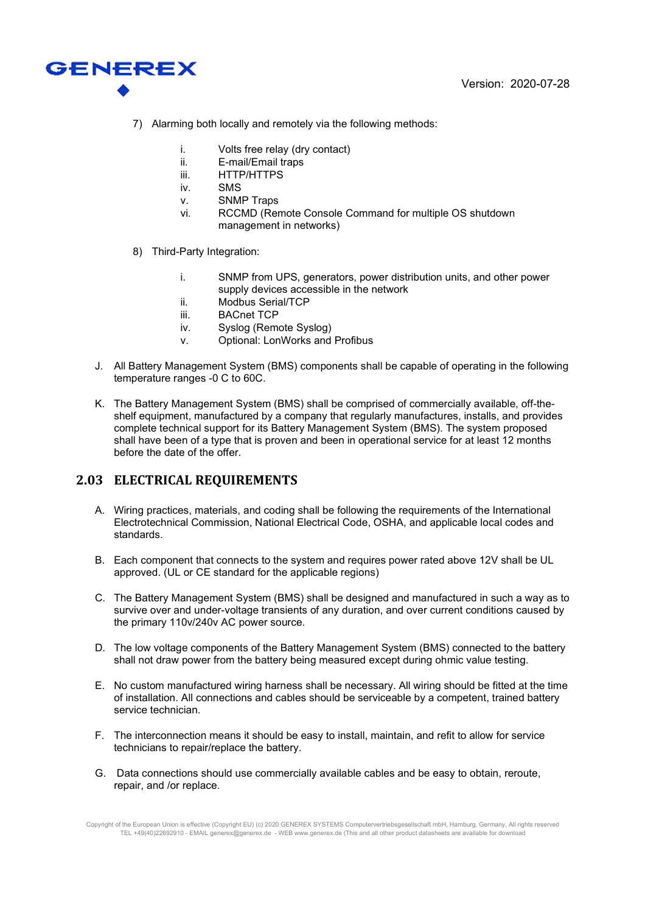

- 7) Alarming both locally and remotely via the following methods:
	- i. Volts free relay (dry contact)
	- ii. E-mail/Email traps
	- iii. HTTP/HTTPS
	- iv. SMS
	- v. SNMP Traps
	- vi. RCCMD (Remote Console Command for multiple OS shutdown management in networks)
- 8) Third-Party Integration:
	- i. SNMP from UPS, generators, power distribution units, and other power supply devices accessible in the network
	- ii. Modbus Serial/TCP
	- iii. BACnet TCP
	- iv. Syslog (Remote Syslog)
	- v. Optional: LonWorks and Profibus
- J. All Battery Management System (BMS) components shall be capable of operating in the following temperature ranges -0 C to 60C.
- K. The Battery Management System (BMS) shall be comprised of commercially available, off-theshelf equipment, manufactured by a company that regularly manufactures, installs, and provides complete technical support for its Battery Management System (BMS). The system proposed shall have been of a type that is proven and been in operational service for at least 12 months before the date of the offer.

## **2.03 ELECTRICAL REQUIREMENTS**

- A. Wiring practices, materials, and coding shall be following the requirements of the International Electrotechnical Commission, National Electrical Code, OSHA, and applicable local codes and standards.
- B. Each component that connects to the system and requires power rated above 12V shall be UL approved. (UL or CE standard for the applicable regions)
- C. The Battery Management System (BMS) shall be designed and manufactured in such a way as to survive over and under-voltage transients of any duration, and over current conditions caused by the primary 110v/240v AC power source.
- D. The low voltage components of the Battery Management System (BMS) connected to the battery shall not draw power from the battery being measured except during ohmic value testing.
- E. No custom manufactured wiring harness shall be necessary. All wiring should be fitted at the time of installation. All connections and cables should be serviceable by a competent, trained battery service technician.
- F. The interconnection means it should be easy to install, maintain, and refit to allow for service technicians to repair/replace the battery.
- G. Data connections should use commercially available cables and be easy to obtain, reroute, repair, and /or replace.

Copyright of the European Union is effective (Copyright EU) (c) 2020 GENEREX SYSTEMS Computervertriebsgesellschaft mbH, Hamburg, Germany, All rights reserved TEL +49(40)22692910 - EMAIL generex@generex.de - WEB www.generex.de (This and all other product datasheets are available for download